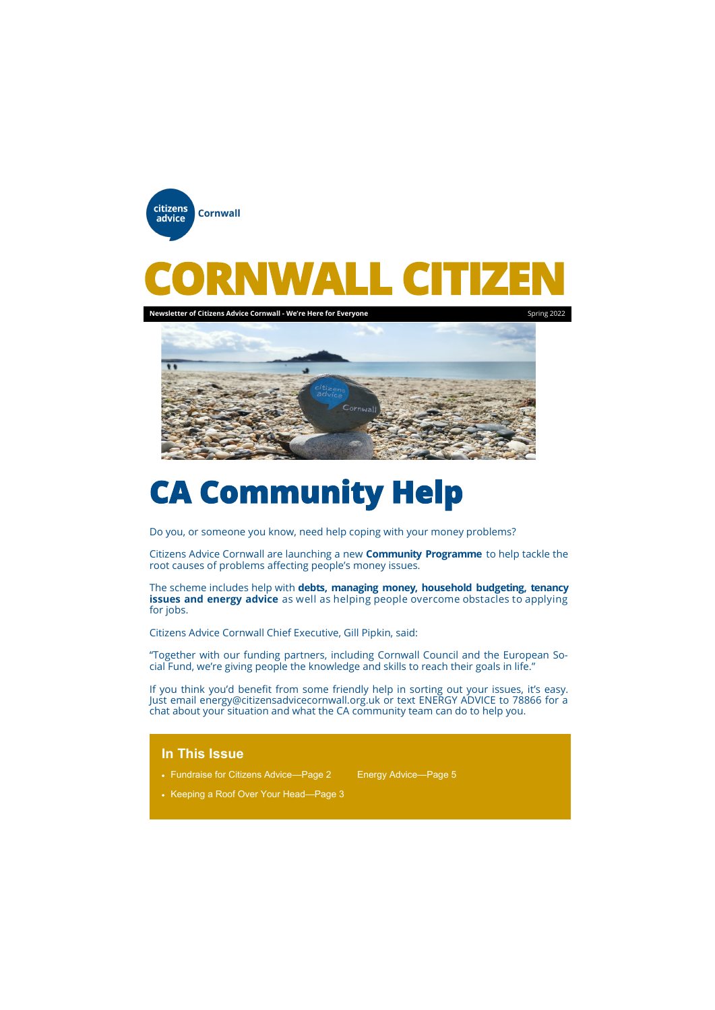# **CA Community Help**

Do you, or someone you know, need help coping with your money problems?

Citizens Advice Cornwall are launching a new **Community Programme** to help tackle the root causes of problems affecting people's money issues.

The scheme includes help with **debts, managing money, household budgeting, tenancy issues and energy advice** as well as helping people overcome obstacles to applying for jobs.

Citizens Advice Cornwall Chief Executive, Gill Pipkin, said:



"Together with our funding partners, including Cornwall Council and the European Social Fund, we're giving people the knowledge and skills to reach their goals in life."

If you think you'd benefit from some friendly help in sorting out your issues, it's easy. Just email energy@citizensadvicecornwall.org.uk or text ENERGY ADVICE to 78866 for a chat about your situation and what the CA community team can do to help you.

# **In This Issue**

• Fundraise for Citizens Advice—Page 2 Energy Advice—Page 5

• Keeping a Roof Over Your Head—Page 3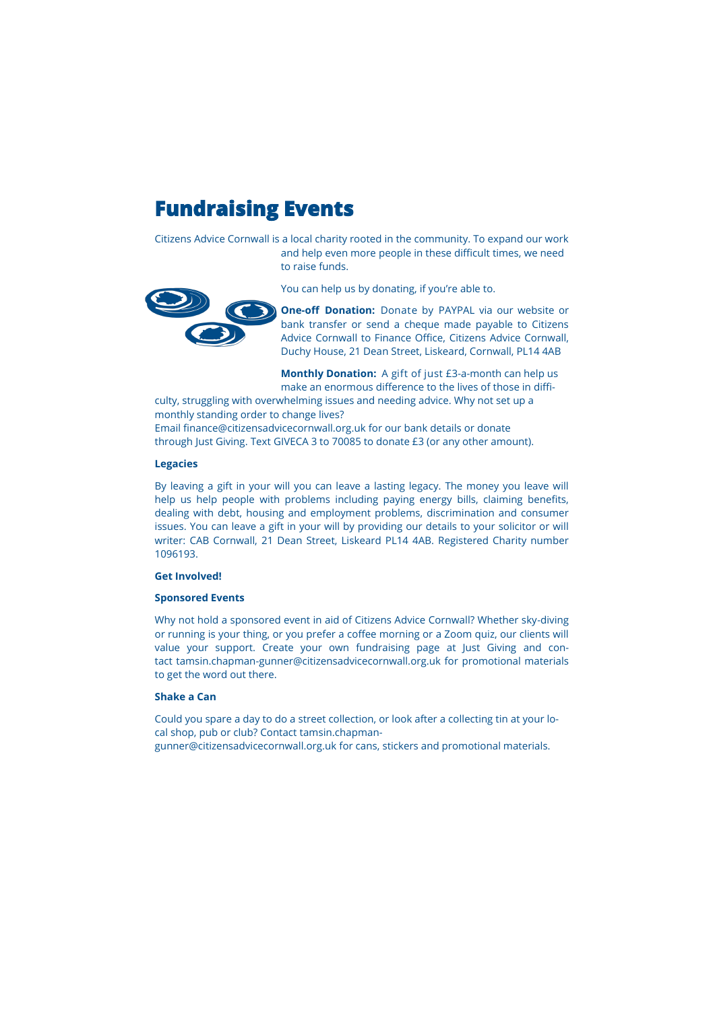# **Fundraising Events**

Citizens Advice Cornwall is a local charity rooted in the community. To expand our work and help even more people in these difficult times, we need to raise funds.



You can help us by donating, if you're able to.

**One-off Donation:** Donate by PAYPAL via our website or bank transfer or send a cheque made payable to Citizens Advice Cornwall to Finance Office, Citizens Advice Cornwall, Duchy House, 21 Dean Street, Liskeard, Cornwall, PL14 4AB

**Monthly Donation:** A gift of just £3-a-month can help us make an enormous difference to the lives of those in diffi-

culty, struggling with overwhelming issues and needing advice. Why not set up a monthly standing order to change lives?

Email finance@citizensadvicecornwall.org.uk for our bank details or donate through Just Giving. Text GIVECA 3 to 70085 to donate £3 (or any other amount).

### **Legacies**

By leaving a gift in your will you can leave a lasting legacy. The money you leave will help us help people with problems including paying energy bills, claiming benefits, dealing with debt, housing and employment problems, discrimination and consumer issues. You can leave a gift in your will by providing our details to your solicitor or will writer: CAB Cornwall, 21 Dean Street, Liskeard PL14 4AB. Registered Charity number 1096193.

### **Get Involved!**

### **Sponsored Events**

Why not hold a sponsored event in aid of Citizens Advice Cornwall? Whether sky-diving or running is your thing, or you prefer a coffee morning or a Zoom quiz, our clients will value your support. Create your own fundraising page at Just Giving and contact tamsin.chapman-gunner@citizensadvicecornwall.org.uk for promotional materials to get the word out there.

### **Shake a Can**

Could you spare a day to do a street collection, or look after a collecting tin at your local shop, pub or club? Contact tamsin.chapman-

gunner@citizensadvicecornwall.org.uk for cans, stickers and promotional materials.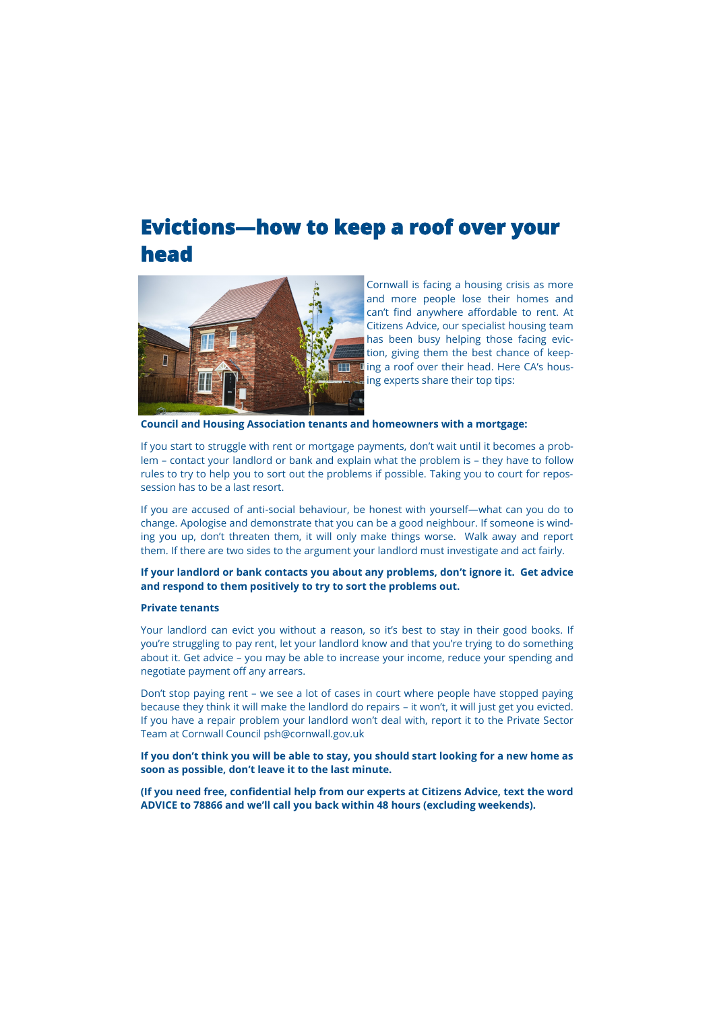# **Evictions—how to keep a roof over your head**



Cornwall is facing a housing crisis as more and more people lose their homes and can't find anywhere affordable to rent. At Citizens Advice, our specialist housing team has been busy helping those facing eviction, giving them the best chance of keeping a roof over their head. Here CA's housing experts share their top tips:

**Council and Housing Association tenants and homeowners with a mortgage:**

If you start to struggle with rent or mortgage payments, don't wait until it becomes a problem – contact your landlord or bank and explain what the problem is – they have to follow rules to try to help you to sort out the problems if possible. Taking you to court for repossession has to be a last resort.

If you are accused of anti-social behaviour, be honest with yourself—what can you do to change. Apologise and demonstrate that you can be a good neighbour. If someone is winding you up, don't threaten them, it will only make things worse. Walk away and report them. If there are two sides to the argument your landlord must investigate and act fairly.

## **If your landlord or bank contacts you about any problems, don't ignore it. Get advice and respond to them positively to try to sort the problems out.**

### **Private tenants**

Your landlord can evict you without a reason, so it's best to stay in their good books. If you're struggling to pay rent, let your landlord know and that you're trying to do something about it. Get advice – you may be able to increase your income, reduce your spending and negotiate payment off any arrears.

Don't stop paying rent – we see a lot of cases in court where people have stopped paying because they think it will make the landlord do repairs – it won't, it will just get you evicted. If you have a repair problem your landlord won't deal with, report it to the Private Sector Team at Cornwall Council psh@cornwall.gov.uk

**If you don't think you will be able to stay, you should start looking for a new home as** 

**soon as possible, don't leave it to the last minute.**

**(If you need free, confidential help from our experts at Citizens Advice, text the word ADVICE to 78866 and we'll call you back within 48 hours (excluding weekends).**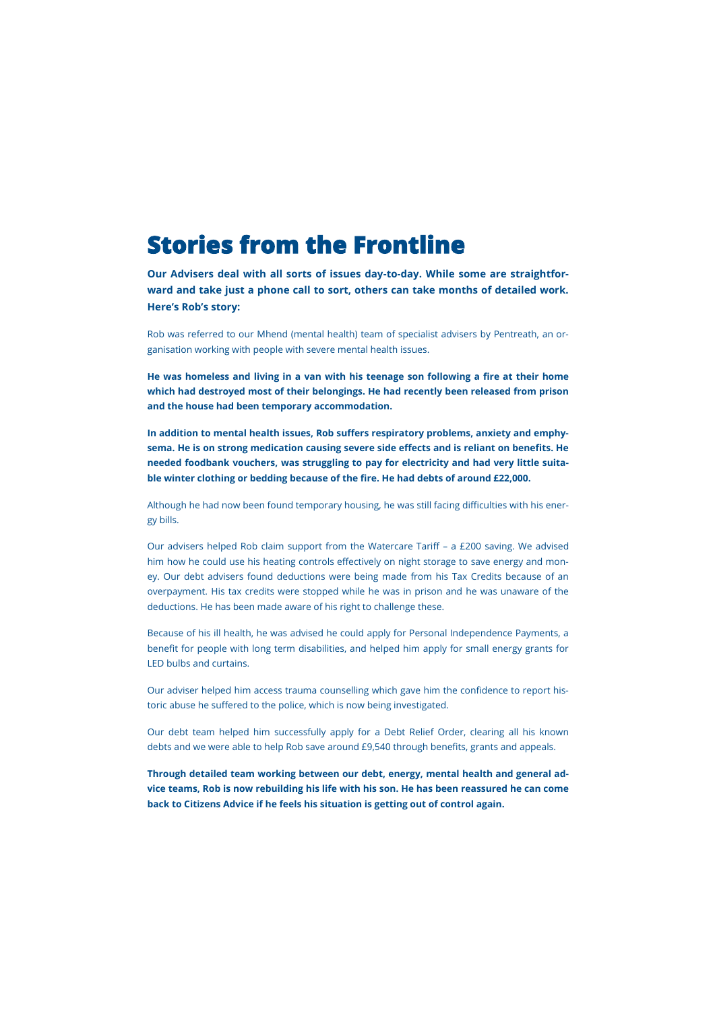# **Stories from the Frontline**

**Our Advisers deal with all sorts of issues day-to-day. While some are straightforward and take just a phone call to sort, others can take months of detailed work. Here's Rob's story:**

Rob was referred to our Mhend (mental health) team of specialist advisers by Pentreath, an organisation working with people with severe mental health issues.

**He was homeless and living in a van with his teenage son following a fire at their home which had destroyed most of their belongings. He had recently been released from prison and the house had been temporary accommodation.**

**In addition to mental health issues, Rob suffers respiratory problems, anxiety and emphysema. He is on strong medication causing severe side effects and is reliant on benefits. He needed foodbank vouchers, was struggling to pay for electricity and had very little suitable winter clothing or bedding because of the fire. He had debts of around £22,000.**

Although he had now been found temporary housing, he was still facing difficulties with his energy bills.

Our advisers helped Rob claim support from the Watercare Tariff – a £200 saving. We advised him how he could use his heating controls effectively on night storage to save energy and money. Our debt advisers found deductions were being made from his Tax Credits because of an overpayment. His tax credits were stopped while he was in prison and he was unaware of the deductions. He has been made aware of his right to challenge these.

Because of his ill health, he was advised he could apply for Personal Independence Payments, a benefit for people with long term disabilities, and helped him apply for small energy grants for LED bulbs and curtains.

Our adviser helped him access trauma counselling which gave him the confidence to report historic abuse he suffered to the police, which is now being investigated.

Our debt team helped him successfully apply for a Debt Relief Order, clearing all his known debts and we were able to help Rob save around £9,540 through benefits, grants and appeals.

**Through detailed team working between our debt, energy, mental health and general advice teams, Rob is now rebuilding his life with his son. He has been reassured he can come back to Citizens Advice if he feels his situation is getting out of control again.**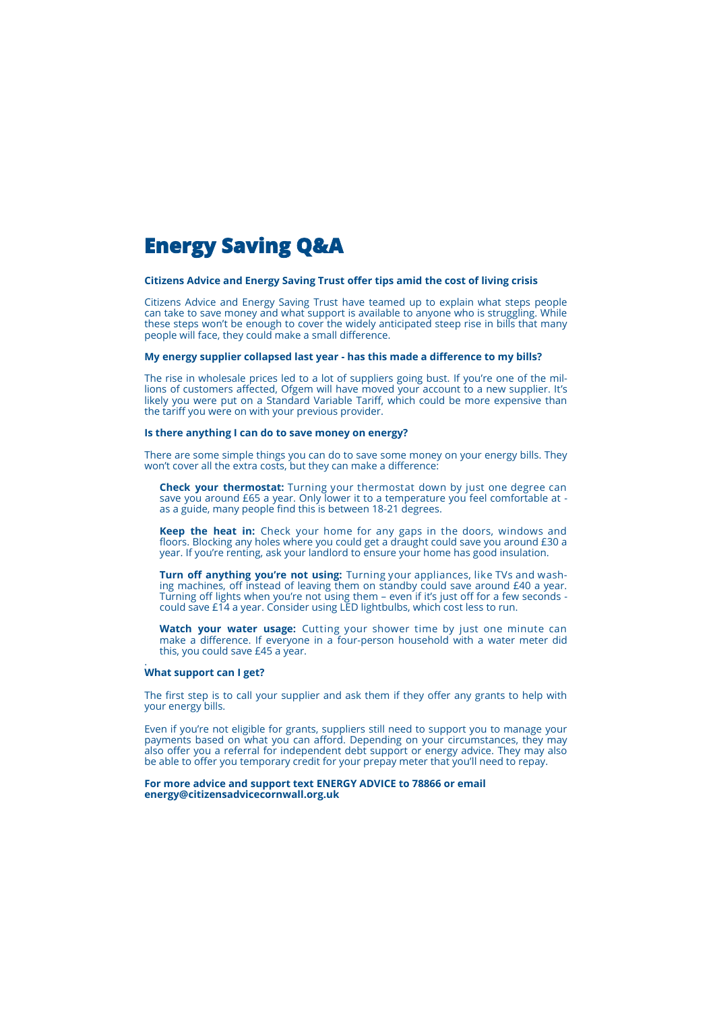# **Energy Saving Q&A**

### **Citizens Advice and Energy Saving Trust offer tips amid the cost of living crisis**

Citizens Advice and Energy Saving Trust have teamed up to explain what steps people can take to save money and what support is available to anyone who is struggling. While these steps won't be enough to cover the widely anticipated steep rise in bills that many people will face, they could make a small difference.

#### **My energy supplier collapsed last year - has this made a difference to my bills?**

The rise in wholesale prices led to a lot of suppliers going bust. If you're one of the millions of customers affected, Ofgem will have moved your account to a new supplier. It's likely you were put on a Standard Variable Tariff, which could be more expensive than the tariff you were on with your previous provider.

### **Is there anything I can do to save money on energy?**

There are some simple things you can do to save some money on your energy bills. They won't cover all the extra costs, but they can make a difference:

Watch your water usage: Cutting your shower time by just one minute can make a difference. If everyone in a four-person household with a water meter did this, you could save £45 a year.

**Check your thermostat:** Turning your thermostat down by just one degree can save you around £65 a year. Only lower it to a temperature you feel comfortable at as a guide, many people find this is between 18-21 degrees.

**Keep the heat in:** Check your home for any gaps in the doors, windows and floors. Blocking any holes where you could get a draught could save you around £30 a year. If you're renting, ask your landlord to ensure your home has good insulation.

**Turn off anything you're not using:** Turning your appliances, like TVs and washing machines, off instead of leaving them on standby could save around £40 a year. Turning off lights when you're not using them – even if it's just off for a few seconds could save £14 a year. Consider using LED lightbulbs, which cost less to run.

.

### **What support can I get?**

The first step is to call your supplier and ask them if they offer any grants to help with your energy bills.

Even if you're not eligible for grants, suppliers still need to support you to manage your payments based on what you can afford. Depending on your circumstances, they may also offer you a referral for independent debt support or energy advice. They may also be able to offer you temporary credit for your prepay meter that you'll need to repay.

#### **For more advice and support text ENERGY ADVICE to 78866 or email energy@citizensadvicecornwall.org.uk**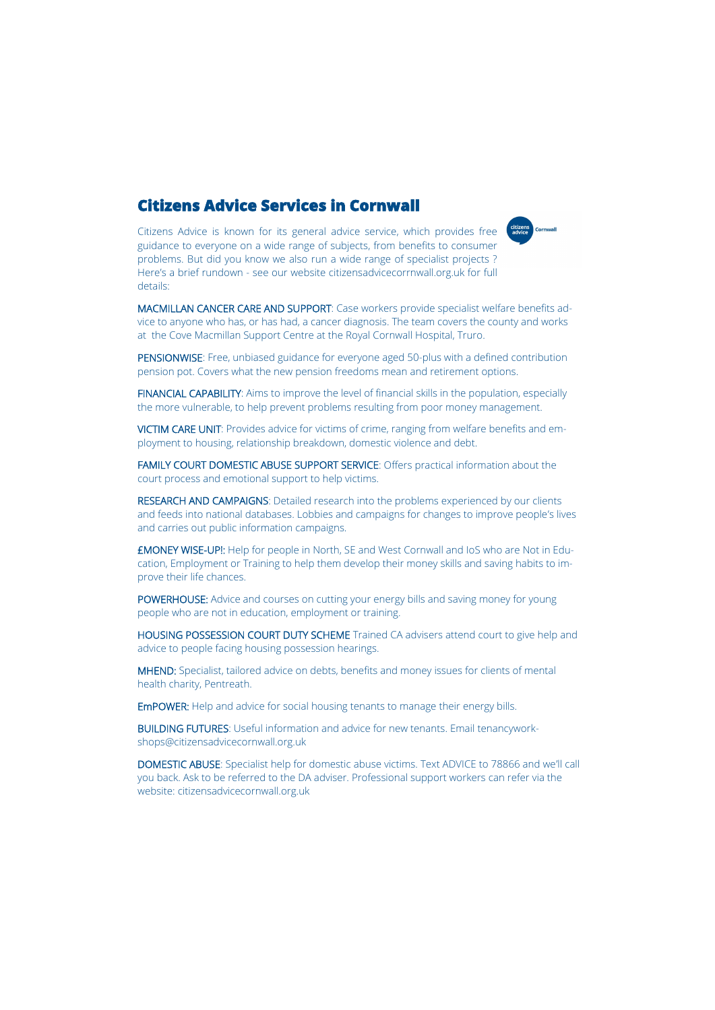# **Citizens Advice Services in Cornwall**

 Citizens Advice is known for its general advice service, which provides free guidance to everyone on a wide range of subjects, from benefits to consumer  problems. But did you know we also run a wide range of specialist projects ?  Here's a brief rundown - see our website citizensadvicecorrnwall.org.uk for full  details:

 at the Cove Macmillan Support Centre at the Royal Cornwall Hospital, Truro. MACMILLAN CANCER CARE AND SUPPORT: Case workers provide specialist welfare benefits advice to anyone who has, or has had, a cancer diagnosis. The team covers the county and works

citizens<br>advice Cornwall

PENSIONWISE: Free, unbiased guidance for everyone aged 50-plus with a defined contribution pension pot. Covers what the new pension freedoms mean and retirement options.

FINANCIAL CAPABILITY: Aims to improve the level of financial skills in the population, especially the more vulnerable, to help prevent problems resulting from poor money management.

VICTIM CARE UNIT: Provides advice for victims of crime, ranging from welfare benefits and employment to housing, relationship breakdown, domestic violence and debt.

FAMILY COURT DOMESTIC ABUSE SUPPORT SERVICE: Offers practical information about the court process and emotional support to help victims.

RESEARCH AND CAMPAIGNS: Detailed research into the problems experienced by our clients and feeds into national databases. Lobbies and campaigns for changes to improve people's lives and carries out public information campaigns.

£MONEY WISE-UP!: Help for people in North, SE and West Cornwall and IoS who are Not in Education, Employment or Training to help them develop their money skills and saving habits to improve their life chances.

POWERHOUSE: Advice and courses on cutting your energy bills and saving money for young people who are not in education, employment or training.

HOUSING POSSESSION COURT DUTY SCHEME Trained CA advisers attend court to give help and advice to people facing housing possession hearings.

MHEND: Specialist, tailored advice on debts, benefits and money issues for clients of mental health charity, Pentreath.

EmPOWER: Help and advice for social housing tenants to manage their energy bills.

BUILDING FUTURES: Useful information and advice for new tenants. Email tenancyworkshops@citizensadvicecornwall.org.uk

DOMESTIC ABUSE: Specialist help for domestic abuse victims. Text ADVICE to 78866 and we'll call you back. Ask to be referred to the DA adviser. Professional support workers can refer via the website: citizensadvicecornwall.org.uk